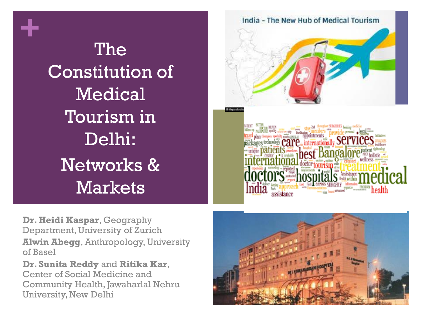**+**

The Constitution of Medical Tourism in Delhi: Networks & Markets



**Dr. Heidi Kaspar**, Geography Department, University of Zurich **Alwin Abegg**, Anthropology, University of Basel

**Dr. Sunita Reddy** and **Ritika Kar**, Center of Social Medicine and Community Health, Jawaharlal Nehru University, New Delhi

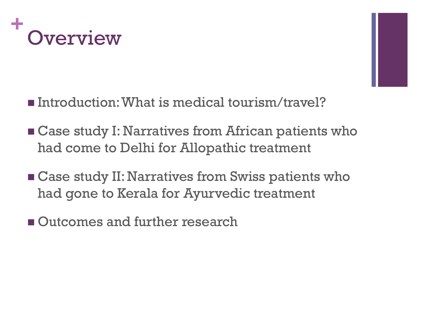



- Introduction: What is medical tourism/travel?
- **EXA** Case study I: Narratives from African patients who had come to Delhi for Allopathic treatment
- **EXTERGE Case study II: Narratives from Swiss patients who** had gone to Kerala for Ayurvedic treatment
- **Outcomes and further research**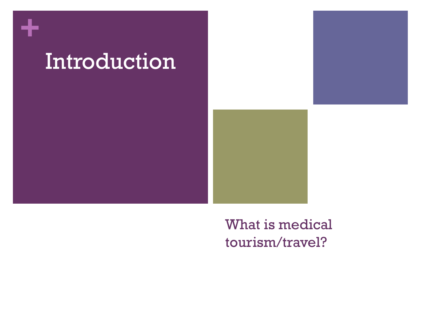

### What is medical tourism/travel?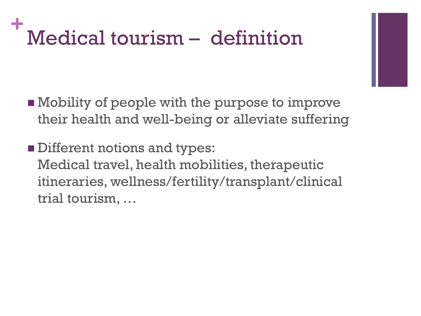### **+** Medical tourism – definition

- **Nobility of people with the purpose to improve** their health and well-being or alleviate suffering
- **Different notions and types:** Medical travel, health mobilities, therapeutic itineraries, wellness/fertility/transplant/clinical trial tourism, …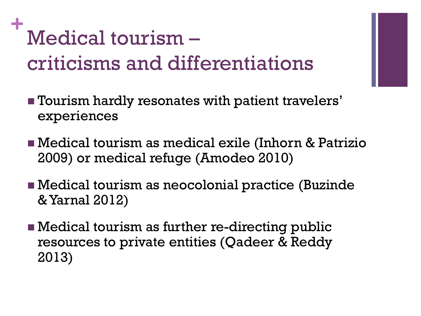# **+** Medical tourism – criticisms and differentiations

- **Therm** hardly resonates with patient travelers' experiences
- Medical tourism as medical exile (Inhorn & Patrizio 2009) or medical refuge (Amodeo 2010)
- Medical tourism as neocolonial practice (Buzinde & Yarnal 2012)
- Medical tourism as further re-directing public resources to private entities (Qadeer & Reddy 2013)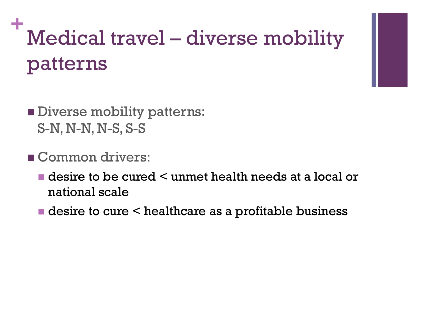# **+** Medical travel – diverse mobility patterns



- **Diverse mobility patterns:** S-N, N-N, N-S, S-S
- Common drivers:
	- **desire to be cured < unmet health needs at a local or** national scale
	- $\blacksquare$  desire to cure  $\leq$  healthcare as a profitable business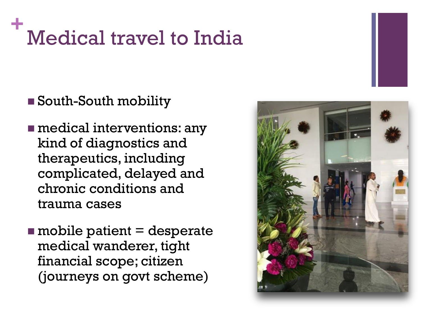### **+** Medical travel to India

#### South-South mobility

**n** medical interventions: any kind of diagnostics and therapeutics, including complicated, delayed and chronic conditions and trauma cases

 $\blacksquare$  mobile patient  $\equiv$  desperate medical wanderer, tight financial scope; citizen (journeys on govt scheme)

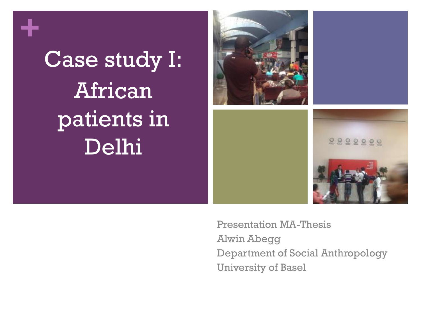**+**

# Case study I: African patients in Delhi



Presentation MA-Thesis Alwin Abegg Department of Social Anthropology University of Basel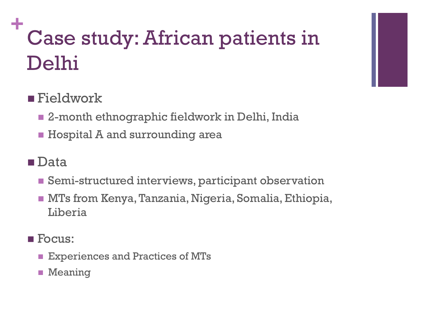# **+** Case study: African patients in Delhi

### ■ Fieldwork

- 2-month ethnographic fieldwork in Delhi, India
- **Hospital A and surrounding area**

#### ■Data

- Semi-structured interviews, participant observation
- MTs from Kenya, Tanzania, Nigeria, Somalia, Ethiopia, Liberia
- **F**ocus:
	- **Experiences and Practices of MTs**
	- **Meaning**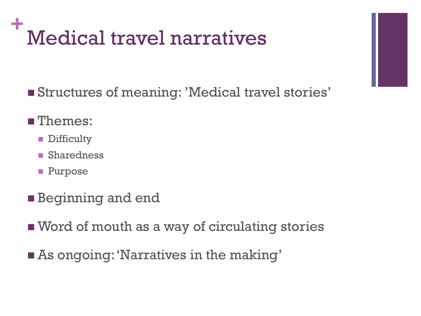### **+** Medical travel narratives

Structures of meaning: 'Medical travel stories'

#### **Themes:**

- **Difficulty**
- Sharedness
- **Purpose**
- **Beginning and end**
- Word of mouth as a way of circulating stories
- As ongoing: 'Narratives in the making'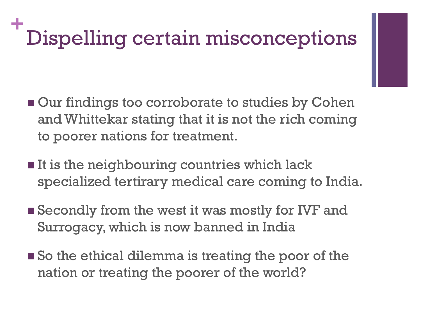### **+** Dispelling certain misconceptions

- **Our findings too corroborate to studies by Cohen** and Whittekar stating that it is not the rich coming to poorer nations for treatment.
- $\blacksquare$  It is the neighbouring countries which lack specialized tertirary medical care coming to India.
- **Secondly from the west it was mostly for IVF and** Surrogacy, which is now banned in India
- So the ethical dilemma is treating the poor of the nation or treating the poorer of the world?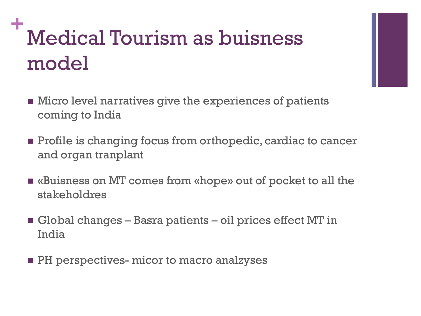# **+** Medical Tourism as buisness model

- **Nicro level narratives give the experiences of patients** coming to India
- **Profile is changing focus from orthopedic, cardiac to cancer** and organ tranplant
- «Buisness on MT comes from «hope» out of pocket to all the stakeholdres
- Global changes Basra patients oil prices effect MT in India
- **PH** perspectives- micor to macro analzyses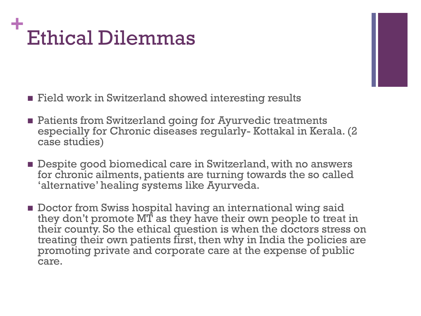### **+** Ethical Dilemmas

- **Field work in Switzerland showed interesting results**
- **Example 1** Patients from Switzerland going for Ayurvedic treatments especially for Chronic diseases regularly- Kottakal in Kerala. (2 case studies)
- Despite good biomedical care in Switzerland, with no answers for chronic ailments, patients are turning towards the so called 'alternative' healing systems like Ayurveda.
- **Doctor from Swiss hospital having an international wing said** they don't promote MT as they have their own people to treat in their county. So the ethical question is when the doctors stress on treating their own patients first, then why in India the policies are promoting private and corporate care at the expense of public care.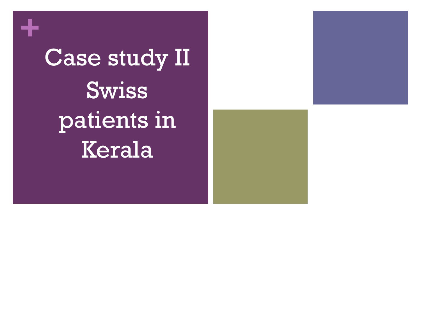Case study II Swiss patients in Kerala

**+**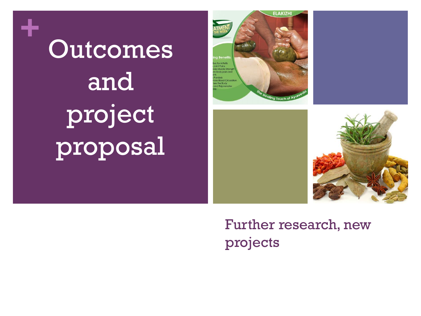**Outcomes** and project proposal

**+**







### Further research, new projects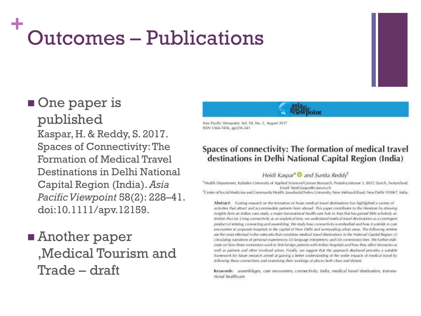### **+** Outcomes – Publications

# One paper is

published Kaspar, H. & Reddy, S. 2017. Spaces of Connectivity: The Formation of Medical Travel Destinations in Delhi National Capital Region (India). *Asia Pacific Viewpoint* 58(2): 228–41. doi:10.1111/apv.12159.

**E** Another paper 'Medical Tourism and Trade – draft

Asia Pacific Viewpoint, Vol. 58, No. 2, August 2017

ISSN 1360-7456, pp228-241

#### Spaces of connectivity: The formation of medical travel destinations in Delhi National Capital Region (India)

#### Heidi Kaspar<sup>\*</sup> and Sunita Reddy<sup>†</sup>

\*Health Department, Kalaidos University of Applied Sciences/Careum Research, Pestalozzistrasse 3, 8032 Zurich, Switzerland, Email: heidi.kaspar@careum.ch

<sup>\*</sup>Center of Social Medicine and Community Health, Jawaharlal Nehru University, New Mehrauli Road, New Delhi 110067, India.

Abstract: Existing research on the formation of Asian medical travel destinations has highlighted a variety of activities that attract and accommodate patients from abroad. This paper contributes to the literature by drawing insights from an Indian case study, a major transnational health-care hub in Asia that has gained little scholarly attention thus far. Using connectivity as an analytical lens, we understand medical travel destinations as a contingent product of relating, connecting and assembling. We study how connectivity is embodied and how it unfolds in care encounters at corporate hospitals in the capital of New Delhi and sumunding urban areas. The following entities are the most effectual in the networks that constitute medical travel destinations in the National Capital Region: (i) circulating narrations of personal experiences; (ii) language interpreters; and (iii) commission fees. We further elaborate on how these connectors work to link foreign patients with Indian hospitals and how they affect itineraries as well as patients and other involved actors. Finally, we suggest that the approach deployed provides a suitable framework for future research aimed at gaining a better understanding of the wider impacts of medical travel by following these connections and examining their workings at places both close and distant.

Keywords: assemblages, care encounters, connectivity, India, medical travel destination, transnational healthcare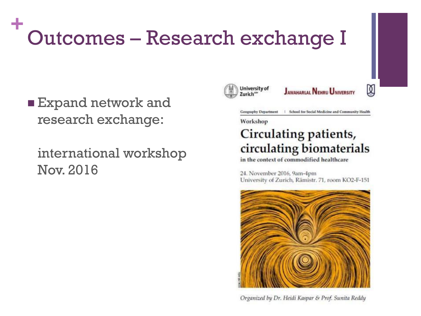### **+** Outcomes – Research exchange I

**Expand network and** research exchange:

international workshop Nov. 2016



**JAWAHARLAL NEHRU UNIVERSITY** 

図

**Geography Department** | School for Social Medicine and Community Health

Workshop

#### Circulating patients, circulating biomaterials

in the context of commodified healthcare

24. November 2016, 9am-4pm University of Zurich, Rämistr. 71, room KO2-F-151



Organized by Dr. Heidi Kaspar & Prof. Sunita Reddy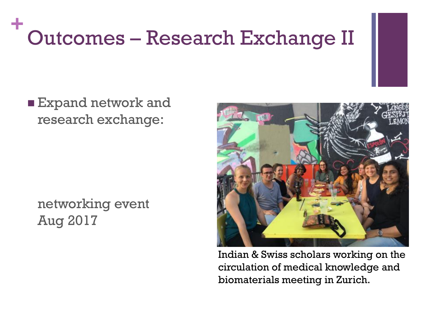### **+** Outcomes – Research Exchange II



#### networking event Aug 2017



Indian & Swiss scholars working on the circulation of medical knowledge and biomaterials meeting in Zurich.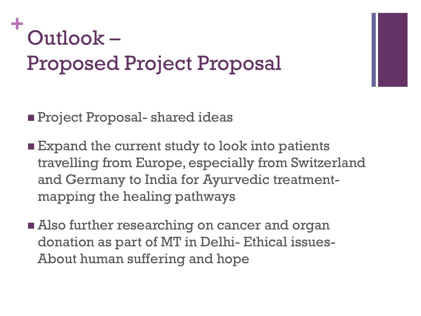## **+** Outlook – Proposed Project Proposal

- **Project Proposal- shared ideas**
- **Expand the current study to look into patients** travelling from Europe, especially from Switzerland and Germany to India for Ayurvedic treatmentmapping the healing pathways
- **Also further researching on cancer and organ** donation as part of MT in Delhi- Ethical issues-About human suffering and hope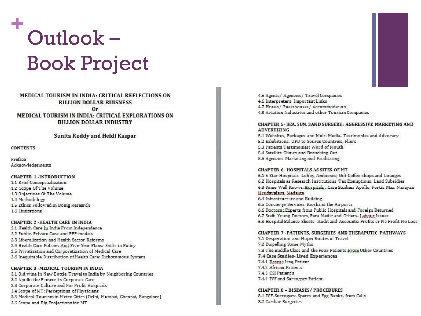# **+** Outlook – Book Project

#### MEDICAL TOURISM IN INDIA: CRITICAL REFLECTIONS ON **BILLION DOLLAR BUISNESS**  $0r$ MEDICAL TOURISM IN INDIA: CRITICAL EXPLORATIONS ON **BILLION DOLLAR INDUSTRY**

#### Sunita Reddy and Heidi Kaspar

#### **CONTENTS**

Preface Acknowledgements

#### **CHAPTER 1 -INTRODUCTION**

1.1 Brief Conceptualization 1.2 Scope Of The Volume 1.3 Objectives Of The Volume 1.4 Methodology 1.5 Ethics Followed In Doing Research 1.6 Limitations

#### **CHAPTER 2 -HEALTH CARE IN INDIA**

2.1 Health Care In India From Independence 2.2 Public, Private Care and PPP models 2.3 Liberalization and Health Sector Reforms 2.4 Health Care Policies And Five-Year Plans: Shifts in Policy 2.5 Privatization and Corporatization of Medical Care 2.6 Inequitable Distribution of Health Care: Dichotomous System

#### **CHAPTER 3 - MEDICAL TOURISM IN INDIA**

3.1 Old wine in New Bottle: Travel to India by Neighboring Countries 3.2 Apollo the Pioneer in Corporate Care 3.3 Corporate Culture and For Profit Hospitals 3.4 Scope of MT: Perceptions of Physicians 3.5 Medical Tourism in Metro Cities (Delhi, Mumbai, Chennai, Bangalore) 3.6 Scope and Big Projections for MT

4.5 Agents/ Agencies/ Travel Companies 4.6 Interpreters: Important Links 4.7 Hotels/ Guesthouses/ Accommodation 4.8 Aviation Industries and other Tourism Companies

#### CHAPTER 5- SEA, SUN, SAND SURGERY: AGGRESSIVE MARKETING AND **ADVERTIZING**

5.1 Websites, Packages and Multi Media- Testimonies and Advocacy 5.2 Exhibitions, OPD to Source Countries, Fliers 5.3 Patients Testimonies: Word of Mouth 5.4 Satellite Clinics and Branching Out 5.5 Agencies Marketing and Facilitating

#### CHAPTER 6. HOSPITALS AS SITES OF MT

6.1 5 Star Hospitals- Lobby, Ambience, Gift Coffee shops and Lounges 6.2 Hospitals as Research Institutions: Tax Exemptions, Land Subsidies 6.3 Some Well Known Hospitals ; Case Studies: Apollo, Fortis, Max, Narayan Hrudavalaya, Medanta 6.4 Infrastructure and Building 6.5 Concierge Services, Kiosks at the Airports 6.6 Doctors: Experts from Public Hospitals and Foreign Returned 6.7 Staff: Young Doctors, Para Medic and Others-Labour Issues 6.8 Hospital Balance Sheets: Audit and Accounts: Profits or No Profit No Loss

#### **CHAPTER 7-PATIENTS, SURGERIES AND THERAPUTIC PATHWAYS**

7.1 Desperation and Hope: Routes of Travel 7.2 Dispelling Some Myths 7.3 The middle Class and the Poor Patients From Other Countries 7.4 Case Studies-Lived Experiences 7.4.1 Basrah Iraq Patient 7.4.2 African Patients 7.4.3 CSI Patient's 7.4.4 IVF and Surrogacy Patient

**CHAPTER 8 - DISEASES/ PROCEDURES** 8.1 IVF, Surrogacy, Sperm and Egg Banks, Stem Cells 8.2 Cardiac Surgeries